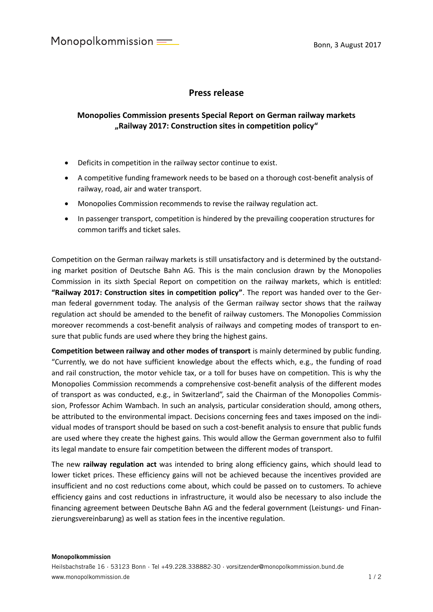Monopolkommission  $=$ 

## **Press release**

## **Monopolies Commission presents Special Report on German railway markets "Railway 2017: Construction sites in competition policy"**

- Deficits in competition in the railway sector continue to exist.
- A competitive funding framework needs to be based on a thorough cost-benefit analysis of railway, road, air and water transport.
- Monopolies Commission recommends to revise the railway regulation act.
- In passenger transport, competition is hindered by the prevailing cooperation structures for common tariffs and ticket sales.

Competition on the German railway markets is still unsatisfactory and is determined by the outstanding market position of Deutsche Bahn AG. This is the main conclusion drawn by the Monopolies Commission in its sixth Special Report on competition on the railway markets, which is entitled: **"Railway 2017: Construction sites in competition policy"**. The report was handed over to the German federal government today. The analysis of the German railway sector shows that the railway regulation act should be amended to the benefit of railway customers. The Monopolies Commission moreover recommends a cost-benefit analysis of railways and competing modes of transport to ensure that public funds are used where they bring the highest gains.

**Competition between railway and other modes of transport** is mainly determined by public funding. "Currently, we do not have sufficient knowledge about the effects which, e.g., the funding of road and rail construction, the motor vehicle tax, or a toll for buses have on competition. This is why the Monopolies Commission recommends a comprehensive cost-benefit analysis of the different modes of transport as was conducted, e.g., in Switzerland", said the Chairman of the Monopolies Commission, Professor Achim Wambach. In such an analysis, particular consideration should, among others, be attributed to the environmental impact. Decisions concerning fees and taxes imposed on the individual modes of transport should be based on such a cost-benefit analysis to ensure that public funds are used where they create the highest gains. This would allow the German government also to fulfil its legal mandate to ensure fair competition between the different modes of transport.

The new **railway regulation act** was intended to bring along efficiency gains, which should lead to lower ticket prices. These efficiency gains will not be achieved because the incentives provided are insufficient and no cost reductions come about, which could be passed on to customers. To achieve efficiency gains and cost reductions in infrastructure, it would also be necessary to also include the financing agreement between Deutsche Bahn AG and the federal government (Leistungs- und Finanzierungsvereinbarung) as well as station fees in the incentive regulation.